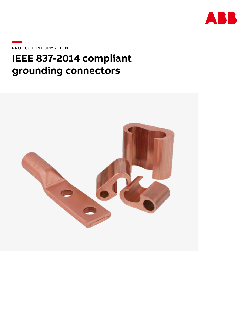

PRODUCT INFORMATION

# IEEE 837-2014 compliant grounding connectors

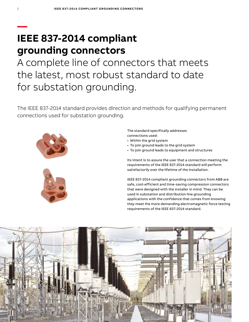## **— IEEE 837-2014 compliant grounding connectors**

A complete line of connectors that meets the latest, most robust standard to date for substation grounding.

The IEEE 837-2014 standard provides direction and methods for qualifying permanent connections used for substation grounding.



The standard specifically addresses connections used:

- Within the grid system
- To join ground leads to the grid system
- To join ground leads to equipment and structures

Its intent is to assure the user that a connection meeting the requirements of the IEEE 837-2014 standard will perform satisfactorily over the lifetime of the installation.

IEEE 837-2014 compliant grounding connectors from ABB are safe, cost-efficient and time-saving compression connectors that were designed with the installer in mind. They can be used in substation and distribution line grounding applications with the confidence that comes from knowing they meet the more demanding electromagnetic force testing requirements of the IEEE 837-2014 standard.

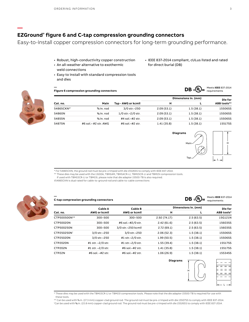### **EZGround® figure 6 and C-tap compression grounding connectors**

Easy-to-install copper compression connectors for long-term grounding performance.

- Robust, high-conductivity copper construction
- An all-weather alternative to exothermic weld connections
- Easy to install with standard compression tools and dies
- IEEE 837-2014 compliant, cULus listed and rated for direct burial (DB)



**—**

**—**

**—**

| <b>Figure 6 compression grounding connectors</b> |  |  |
|--------------------------------------------------|--|--|
|--------------------------------------------------|--|--|

| Cat. no.   |                           | Tap - AWG or kcmil     |             | Dimensions in. (mm) | Die for<br>ABB tools** |
|------------|---------------------------|------------------------|-------------|---------------------|------------------------|
|            | Main                      |                        | н           |                     |                        |
| 54865CKN*+ | $%$ in. rod               | 3/0 str. - 250         | 2.09(53.1)  | 1.5(38.1)           | 15506SS                |
| 54860N     | $%$ in. rod               | $1/0$ str. $-2/0$ str. | 2.09(53.1)  | 1.5(38.1)           | 15506SS                |
| 54855N     | $%$ in. rod               | $#4$ sol $-#2$ str.    | 2.09(53.1)  | 1.5(38.1)           | 15506SS                |
| 54875N     | $\#6$ sol $ \#2$ str. AWG | $\#6$ sol $-\#2$ str.  | 1.41 (35.8) | 1.5(38.1)           | 15517SS                |



**DB**  $\cdot$  **W**<sub>I</sub> Meets IEEE 837-2014

**DB**  $\mathfrak{c}$  **W** Us Meets IEEE 837-2014

\* For 54865CKN, the ground rod must be pre-crimped with die 15526SS to comply with IEEE 837-2014.

\*\* These dies may be used with the 13100A, TBM14M, TBM14CR-LI, TBM15CR-LI and TBM15I compression tools.

If used with TBM15CR-LI or TBM15I, please note that die adapter 15500-TB is also required.

†54865CKN is dual rated for cable-to-ground rod and cable-to-cable connections

**C-tap compression grounding connectors**



| a tap compression grounding connectors |                                |                                |                     |           | requirements |
|----------------------------------------|--------------------------------|--------------------------------|---------------------|-----------|--------------|
| Cat. no.                               | Cable A<br><b>AWG or kcmil</b> | Cable B<br><b>AWG or kcmil</b> | Dimensions in. (mm) | Die for   |              |
|                                        |                                |                                | н                   |           | ABB tools*   |
| CTP500500N**                           | 300-500                        | 300-500                        | 2.92 (74.17)        | 2.5(63.5) | 15G121N      |
| CTP50020N                              | 300-500                        | #6 sol.-#2/0 str.              | 2.42(61.6)          | 2.5(63.5) | 15603SS      |
| CTP500250N                             | 300-500                        | 3/0 str.-250 kcmil             | 2.72(69.1)          | 2.5(63.5) | 15603SS      |
| CTP250250N <sup>+</sup>                | 3/0 str.-250                   | 3/0 str.-250                   | 2.06(52.3)          | 1.5(38.1) | 15506SS      |
| CTP25020N                              | 3/0 str.-250                   | #1 str.-2/0 str.               | 1.99(50.5)          | 1.5(38.1) | 15506SS      |
| <b>CTP2020N</b>                        | #1 str. -2/0 str.              | #1 str.-2/0 str.               | 1.55(39.4)          | 1.5(38.1) | 15517SS      |
| <b>CTP202N</b>                         | #1 str. -2/0 str.              | #6 sol.-#2 str.                | 1.41 (35.8)         | 1.5(38.1) | 15517SS      |
| CTP22N                                 | #6 sol. -#2 str.               | #6 sol. - #2 str.              | 1.06(26.9)          | 1.5(38.1) | 15534SS      |



<sup>\*</sup> These dies may be used with the TBM15CR-LI or TBM15I compression tools. Please note that the die adapter 15500-TB is required for use with

these tools.<br>\*\* Can be used with % in. (17.3 mm) copper-clad ground rod. The ground rod must be pre-crimped with die 15507SS to comply with IEEE 837-2014.<br>ICan be used with % in. (15.8 mm) copper-clad ground rod. The groun Can be used with % in. (15.8 mm) copper-clad ground rod. The ground rod must be pre-crimped with die 15526SS to comply with IEEE 837-2014.